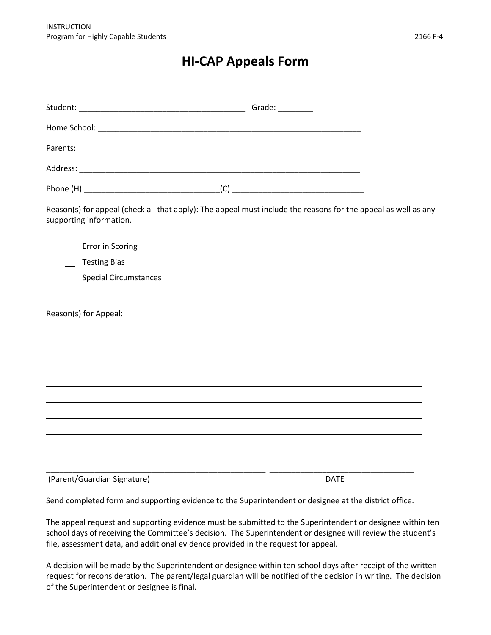## **HI-CAP Appeals Form**

| supporting information.      | Reason(s) for appeal (check all that apply): The appeal must include the reasons for the appeal as well as any |  |
|------------------------------|----------------------------------------------------------------------------------------------------------------|--|
| <b>Error in Scoring</b>      |                                                                                                                |  |
| <b>Testing Bias</b>          |                                                                                                                |  |
| <b>Special Circumstances</b> |                                                                                                                |  |
| Reason(s) for Appeal:        | ,我们也不会有一个人的人,我们也不会有一个人的人,我们也不会有一个人的人,我们也不会有一个人的人。""我们的人,我们也不会有一个人的人,我们也不会有一个人的人,                               |  |
|                              |                                                                                                                |  |
|                              | ,我们也不会有什么。""我们的人,我们也不会有什么?""我们的人,我们也不会有什么?""我们的人,我们也不会有什么?""我们的人,我们也不会有什么?""我们的人                               |  |
|                              | ,我们也不会有什么。""我们的人,我们也不会有什么?""我们的人,我们也不会有什么?""我们的人,我们也不会有什么?""我们的人,我们也不会有什么?""我们的人                               |  |
|                              |                                                                                                                |  |
|                              |                                                                                                                |  |
| (Parent/Guardian Signature)  | <b>DATE</b>                                                                                                    |  |
|                              |                                                                                                                |  |

Send completed form and supporting evidence to the Superintendent or designee at the district office.

The appeal request and supporting evidence must be submitted to the Superintendent or designee within ten school days of receiving the Committee's decision. The Superintendent or designee will review the student's file, assessment data, and additional evidence provided in the request for appeal.

A decision will be made by the Superintendent or designee within ten school days after receipt of the written request for reconsideration. The parent/legal guardian will be notified of the decision in writing. The decision of the Superintendent or designee is final.